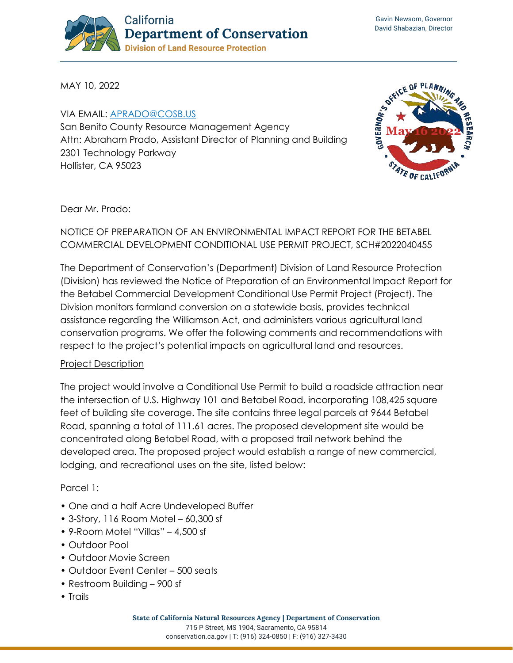

MAY 10, 2022

VIA EMAIL: [APRADO@COSB.US](mailto:aprado@cosb.us) San Benito County Resource Management Agency Attn: Abraham Prado, Assistant Director of Planning and Building 2301 Technology Parkway Hollister, CA 95023



Dear Mr. Prado:

### NOTICE OF PREPARATION OF AN ENVIRONMENTAL IMPACT REPORT FOR THE BETABEL COMMERCIAL DEVELOPMENT CONDITIONAL USE PERMIT PROJECT, SCH#2022040455

The Department of Conservation's (Department) Division of Land Resource Protection (Division) has reviewed the Notice of Preparation of an Environmental Impact Report for the Betabel Commercial Development Conditional Use Permit Project (Project). The Division monitors farmland conversion on a statewide basis, provides technical assistance regarding the Williamson Act, and administers various agricultural land conservation programs. We offer the following comments and recommendations with respect to the project's potential impacts on agricultural land and resources.

#### Project Description

The project would involve a Conditional Use Permit to build a roadside attraction near the intersection of U.S. Highway 101 and Betabel Road, incorporating 108,425 square feet of building site coverage. The site contains three legal parcels at 9644 Betabel Road, spanning a total of 111.61 acres. The proposed development site would be concentrated along Betabel Road, with a proposed trail network behind the developed area. The proposed project would establish a range of new commercial, lodging, and recreational uses on the site, listed below:

#### Parcel 1:

- One and a half Acre Undeveloped Buffer
- 3-Story, 116 Room Motel 60,300 sf
- 9-Room Motel "Villas" 4,500 sf
- Outdoor Pool
- Outdoor Movie Screen
- Outdoor Event Center 500 seats
- Restroom Building 900 sf
- Trails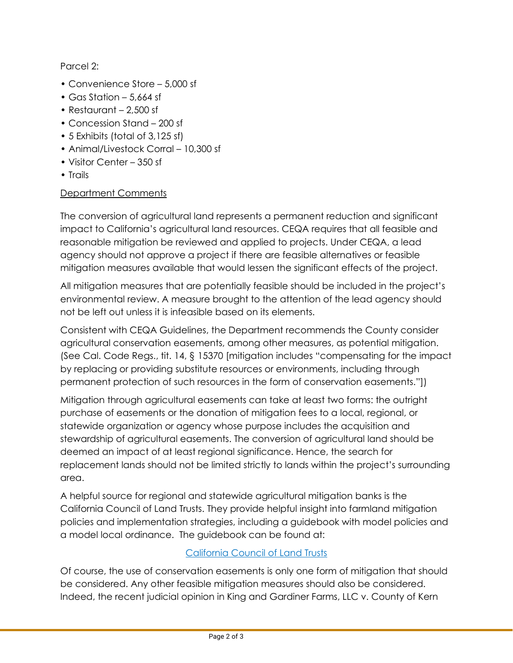Parcel 2:

- Convenience Store 5,000 sf
- Gas Station 5,664 sf
- Restaurant 2,500 sf
- Concession Stand 200 sf
- 5 Exhibits (total of 3,125 sf)
- Animal/Livestock Corral 10,300 sf
- Visitor Center 350 sf
- Trails

# Department Comments

The conversion of agricultural land represents a permanent reduction and significant impact to California's agricultural land resources. CEQA requires that all feasible and reasonable mitigation be reviewed and applied to projects. Under CEQA, a lead agency should not approve a project if there are feasible alternatives or feasible mitigation measures available that would lessen the significant effects of the project.

All mitigation measures that are potentially feasible should be included in the project's environmental review. A measure brought to the attention of the lead agency should not be left out unless it is infeasible based on its elements.

Consistent with CEQA Guidelines, the Department recommends the County consider agricultural conservation easements, among other measures, as potential mitigation. (See Cal. Code Regs., tit. 14, § 15370 [mitigation includes "compensating for the impact by replacing or providing substitute resources or environments, including through permanent protection of such resources in the form of conservation easements."])

Mitigation through agricultural easements can take at least two forms: the outright purchase of easements or the donation of mitigation fees to a local, regional, or statewide organization or agency whose purpose includes the acquisition and stewardship of agricultural easements. The conversion of agricultural land should be deemed an impact of at least regional significance. Hence, the search for replacement lands should not be limited strictly to lands within the project's surrounding area.

A helpful source for regional and statewide agricultural mitigation banks is the California Council of Land Trusts. They provide helpful insight into farmland mitigation policies and implementation strategies, including a guidebook with model policies and a model local ordinance. The guidebook can be found at:

# [California Council of Land Trusts](https://www.calandtrusts.org/resources/conserving-californias-harvest/)

Of course, the use of conservation easements is only one form of mitigation that should be considered. Any other feasible mitigation measures should also be considered. Indeed, the recent judicial opinion in King and Gardiner Farms, LLC v. County of Kern